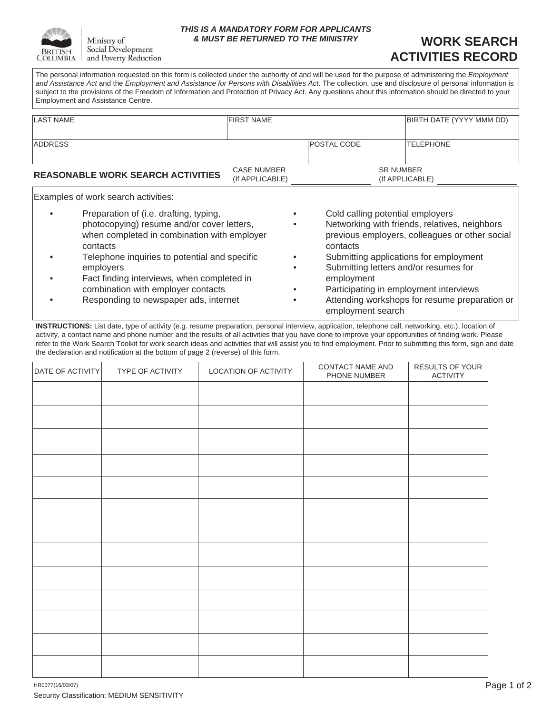

Ministry of Social Development and Poverty Reduction

#### *THIS IS A MANDATORY FORM FOR APPLICANTS & MUST BE RETURNED TO THE MINISTRY*

## **WORK SEARCH ACTIVITIES RECORD**

The personal information requested on this form is collected under the authority of and will be used for the purpose of administering the *Employment and Assistance Act* and the *Employment and Assistance for Persons with Disabilities Act*. The collection, use and disclosure of personal information is subject to the provisions of the Freedom of Information and Protection of Privacy Act. Any questions about this information should be directed to your Employment and Assistance Centre.

| ILAST NAME                               | <b>IFIRST NAME</b>                    |                     | BIRTH DATE (YYYY MMM DD) |
|------------------------------------------|---------------------------------------|---------------------|--------------------------|
|                                          |                                       |                     |                          |
| <b>ADDRESS</b>                           |                                       | <b>IPOSTAL CODE</b> | <b>ITELEPHONE</b>        |
|                                          |                                       |                     |                          |
| <b>REASONABLE WORK SEARCH ACTIVITIES</b> | <b>CASE NUMBER</b><br>(If APPLICABLE) | <b>SR NUMBER</b>    | (If APPLICABLE)          |

Examples of work search activities:

- Preparation of (i.e. drafting, typing, photocopying) resume and/or cover letters, when completed in combination with employer contacts
- Telephone inquiries to potential and specific employers
- Fact finding interviews, when completed in combination with employer contacts
- Responding to newspaper ads, internet
- Cold calling potential employers
- Networking with friends, relatives, neighbors previous employers, colleagues or other social contacts
- Submitting applications for employment
- Submitting letters and/or resumes for employment
- Participating in employment interviews
- Attending workshops for resume preparation or employment search

**INSTRUCTIONS:** List date, type of activity (e.g. resume preparation, personal interview, application, telephone call, networking, etc.), location of activity, a contact name and phone number and the results of all activities that you have done to improve your opportunities of finding work. Please refer to the Work Search Toolkit for work search ideas and activities that will assist you to find employment. Prior to submitting this form, sign and date the declaration and notification at the bottom of page 2 (reverse) of this form.

| DATE OF ACTIVITY | TYPE OF ACTIVITY | LOCATION OF ACTIVITY | CONTACT NAME AND<br>PHONE NUMBER | RESULTS OF YOUR<br><b>ACTIVITY</b> |
|------------------|------------------|----------------------|----------------------------------|------------------------------------|
|                  |                  |                      |                                  |                                    |
|                  |                  |                      |                                  |                                    |
|                  |                  |                      |                                  |                                    |
|                  |                  |                      |                                  |                                    |
|                  |                  |                      |                                  |                                    |
|                  |                  |                      |                                  |                                    |
|                  |                  |                      |                                  |                                    |
|                  |                  |                      |                                  |                                    |
|                  |                  |                      |                                  |                                    |
|                  |                  |                      |                                  |                                    |
|                  |                  |                      |                                  |                                    |
|                  |                  |                      |                                  |                                    |
|                  |                  |                      |                                  |                                    |